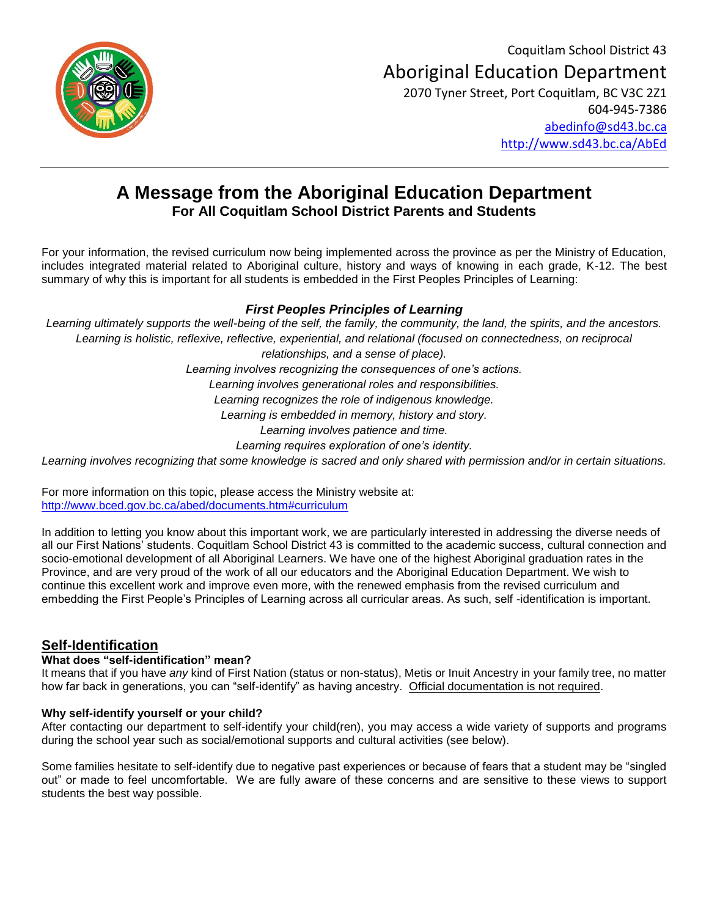Coquitlam School District 43 Aboriginal Education Department 2070 Tyner Street, Port Coquitlam, BC V3C 2Z1 604-945-7386



[abedinfo@sd43.bc.ca](mailto:abedinfo@sd43.bc.ca) <http://www.sd43.bc.ca/AbEd>

## **A Message from the Aboriginal Education Department For All Coquitlam School District Parents and Students**

For your information, the revised curriculum now being implemented across the province as per the Ministry of Education, includes integrated material related to Aboriginal culture, history and ways of knowing in each grade, K-12. The best summary of why this is important for all students is embedded in the First Peoples Principles of Learning:

### *First Peoples Principles of Learning*

*Learning ultimately supports the well-being of the self, the family, the community, the land, the spirits, and the ancestors. Learning is holistic, reflexive, reflective, experiential, and relational (focused on connectedness, on reciprocal relationships, and a sense of place). Learning involves recognizing the consequences of one's actions. Learning involves generational roles and responsibilities. Learning recognizes the role of indigenous knowledge. Learning is embedded in memory, history and story. Learning involves patience and time. Learning requires exploration of one's identity. Learning involves recognizing that some knowledge is sacred and only shared with permission and/or in certain situations.*

For more information on this topic, please access the Ministry website at: <http://www.bced.gov.bc.ca/abed/documents.htm#curriculum>

In addition to letting you know about this important work, we are particularly interested in addressing the diverse needs of all our First Nations' students. Coquitlam School District 43 is committed to the academic success, cultural connection and socio-emotional development of all Aboriginal Learners. We have one of the highest Aboriginal graduation rates in the Province, and are very proud of the work of all our educators and the Aboriginal Education Department. We wish to continue this excellent work and improve even more, with the renewed emphasis from the revised curriculum and embedding the First People's Principles of Learning across all curricular areas. As such, self -identification is important.

## **Self-Identification**

#### **What does "self-identification" mean?**

It means that if you have *any* kind of First Nation (status or non-status), Metis or Inuit Ancestry in your family tree, no matter how far back in generations, you can "self-identify" as having ancestry. Official documentation is not required.

#### **Why self-identify yourself or your child?**

After contacting our department to self-identify your child(ren), you may access a wide variety of supports and programs during the school year such as social/emotional supports and cultural activities (see below).

Some families hesitate to self-identify due to negative past experiences or because of fears that a student may be "singled out" or made to feel uncomfortable. We are fully aware of these concerns and are sensitive to these views to support students the best way possible.